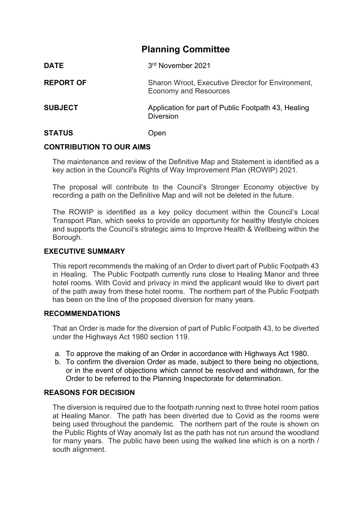# **Planning Committee**

| <b>DATE</b>      | 3rd November 2021                                                                 |
|------------------|-----------------------------------------------------------------------------------|
| <b>REPORT OF</b> | Sharon Wroot, Executive Director for Environment,<br><b>Economy and Resources</b> |
| <b>SUBJECT</b>   | Application for part of Public Footpath 43, Healing<br><b>Diversion</b>           |
| <b>STATUS</b>    | Open                                                                              |

### **CONTRIBUTION TO OUR AIMS**

The maintenance and review of the Definitive Map and Statement is identified as a key action in the Council's Rights of Way Improvement Plan (ROWIP) 2021.

The proposal will contribute to the Council's Stronger Economy objective by recording a path on the Definitive Map and will not be deleted in the future.

The ROWIP is identified as a key policy document within the Council's Local Transport Plan, which seeks to provide an opportunity for healthy lifestyle choices and supports the Council's strategic aims to Improve Health & Wellbeing within the Borough.

#### **EXECUTIVE SUMMARY**

This report recommends the making of an Order to divert part of Public Footpath 43 in Healing. The Public Footpath currently runs close to Healing Manor and three hotel rooms. With Covid and privacy in mind the applicant would like to divert part of the path away from these hotel rooms. The northern part of the Public Footpath has been on the line of the proposed diversion for many years.

#### **RECOMMENDATIONS**

That an Order is made for the diversion of part of Public Footpath 43, to be diverted under the Highways Act 1980 section 119.

- a. To approve the making of an Order in accordance with Highways Act 1980.
- b. To confirm the diversion Order as made, subject to there being no objections, or in the event of objections which cannot be resolved and withdrawn, for the Order to be referred to the Planning Inspectorate for determination.

#### **REASONS FOR DECISION**

The diversion is required due to the footpath running next to three hotel room patios at Healing Manor. The path has been diverted due to Covid as the rooms were being used throughout the pandemic. The northern part of the route is shown on the Public Rights of Way anomaly list as the path has not run around the woodland for many years. The public have been using the walked line which is on a north / south alignment.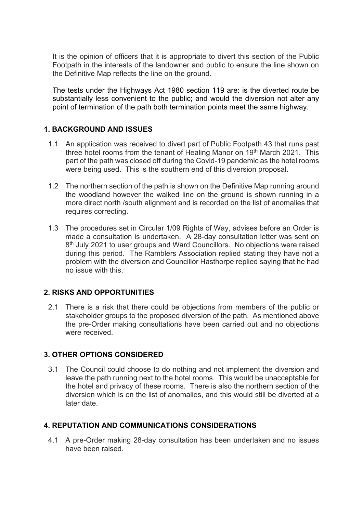It is the opinion of officers that it is appropriate to divert this section of the Public Footpath in the interests of the landowner and public to ensure the line shown on the Definitive Map reflects the line on the ground.

The tests under the Highways Act 1980 section 119 are: is the diverted route be substantially less convenient to the public; and would the diversion not alter any point of termination of the path both termination points meet the same highway.

# **1. BACKGROUND AND ISSUES**

- 1.1 An application was received to divert part of Public Footpath 43 that runs past three hotel rooms from the tenant of Healing Manor on 19<sup>th</sup> March 2021. This part of the path was closed off during the Covid-19 pandemic as the hotel rooms were being used. This is the southern end of this diversion proposal.
- 1.2 The northern section of the path is shown on the Definitive Map running around the woodland however the walked line on the ground is shown running in a more direct north /south alignment and is recorded on the list of anomalies that requires correcting.
- 1.3 The procedures set in Circular 1/09 Rights of Way, advises before an Order is made a consultation is undertaken. A 28-day consultation letter was sent on 8<sup>th</sup> July 2021 to user groups and Ward Councillors. No objections were raised during this period. The Ramblers Association replied stating they have not a problem with the diversion and Councillor Hasthorpe replied saying that he had no issue with this.

# **2. RISKS AND OPPORTUNITIES**

2.1 There is a risk that there could be objections from members of the public or stakeholder groups to the proposed diversion of the path. As mentioned above the pre-Order making consultations have been carried out and no objections were received.

# **3. OTHER OPTIONS CONSIDERED**

3.1 The Council could choose to do nothing and not implement the diversion and leave the path running next to the hotel rooms. This would be unacceptable for the hotel and privacy of these rooms. There is also the northern section of the diversion which is on the list of anomalies, and this would still be diverted at a later date.

# **4. REPUTATION AND COMMUNICATIONS CONSIDERATIONS**

4.1 A pre-Order making 28-day consultation has been undertaken and no issues have been raised.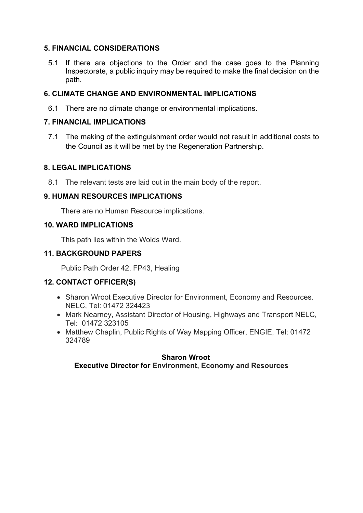# **5. FINANCIAL CONSIDERATIONS**

5.1 If there are objections to the Order and the case goes to the Planning Inspectorate, a public inquiry may be required to make the final decision on the path.

### **6. CLIMATE CHANGE AND ENVIRONMENTAL IMPLICATIONS**

6.1 There are no climate change or environmental implications.

### **7. FINANCIAL IMPLICATIONS**

7.1 The making of the extinguishment order would not result in additional costs to the Council as it will be met by the Regeneration Partnership.

#### **8. LEGAL IMPLICATIONS**

8.1 The relevant tests are laid out in the main body of the report.

### **9. HUMAN RESOURCES IMPLICATIONS**

There are no Human Resource implications.

### **10. WARD IMPLICATIONS**

This path lies within the Wolds Ward.

### **11. BACKGROUND PAPERS**

Public Path Order 42, FP43, Healing

### **12. CONTACT OFFICER(S)**

- Sharon Wroot Executive Director for Environment, Economy and Resources. NELC, Tel: 01472 324423
- Mark Nearney, Assistant Director of Housing, Highways and Transport NELC, Tel: 01472 323105
- Matthew Chaplin, Public Rights of Way Mapping Officer, ENGIE, Tel: 01472 324789

#### **Sharon Wroot Executive Director for Environment, Economy and Resources**